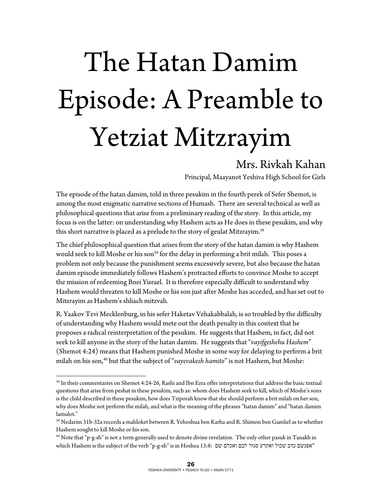## The Hatan Damim Episode: A Preamble to Yetziat Mitzrayim

## Mrs. Rivkah Kahan

Principal, Maayanot Yeshiva High School for Girls

The episode of the hatan damim, told in three pesukim in the fourth perek of Sefer Shemot, is among the most enigmatic narrative sections of Humash. There are several technical as well as philosophical questions that arise from a preliminary reading of the story. In this article, my focus is on the latter: on understanding why Hashem acts as He does in these pesukim, and why this short narrative is placed as a prelude to the story of geulat Mitzrayim.<sup>38</sup>

The chief philosophical question that arises from the story of the hatan damim is why Hashem would seek to kill Moshe or his son<sup>39</sup> for the delay in performing a brit milah. This poses a problem not only because the punishment seems excessively severe, but also because the hatan damim episode immediately follows Hashem's protracted efforts to convince Moshe to accept the mission of redeeming Bnei Yisrael. It is therefore especially difficult to understand why Hashem would threaten to kill Moshe or his son just after Moshe has acceded, and has set out to Mitzrayim as Hashem's shliach mitzvah.

R. Yaakov Tzvi Mecklenburg, in his sefer Haketav Vehakabbalah, is so troubled by the difficulty of understanding why Hashem would mete out the death penalty in this context that he proposes a radical reinterpretation of the pesukim. He suggests that Hashem, in fact, did not seek to kill anyone in the story of the hatan damim. He suggests that "*vayifgeshehu Hashem*" (Shemot 4:24) means that Hashem punished Moshe in some way for delaying to perform a brit milah on his son,<sup>40</sup> but that the subject of "*vayevakesh hamito*" is not Hashem, but Moshe:

 $\overline{a}$ 

<sup>38</sup> In their commentaries on Shemot 4:24-26, Rashi and Ibn Ezra offer interpretations that address the basic textual questions that arise from peshat in these pesukim, such as: whom does Hashem seek to kill, which of Moshe's sons is the child described in these pesukim, how does Tziporah know that she should perform a brit milah on her son, why does Moshe not perform the milah, and what is the meaning of the phrases "hatan damim" and "hatan damim lamulot."

<sup>39</sup> Nedarim 31b-32a records a mahloket between R. Yehoshua ben Karha and R. Shimon ben Gamliel as to whether Hashem sought to kill Moshe or his son.

<sup>&</sup>lt;sup>40</sup> Note that "p-g-sh" is not a term generally used to denote divine revelation. The only other pasuk in Tanakh in which Hashem is the subject of the verb "p-g-sh" is in Hoshea 13:8: שם כדב שכול ואקרע סגור לבם ואכלם שם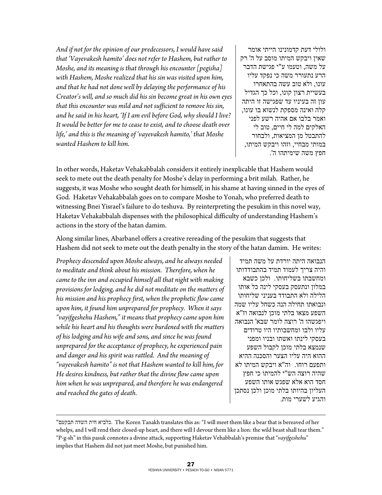*And if not for the opinion of our predecessors, I would have said that 'Vayevakesh hamito' does not refer to Hashem, but rather to Moshe, and its meaning is that through his encounter [pegisha] with Hashem, Moshe realized that his sin was visited upon him, and that he had not done well by delaying the performance of his Creator's will, and so much did his sin become great in his own eyes that this encounter was mild and not sufficient to remove his sin, and he said in his heart, 'If I am evil before God, why should I live? It would be better for me to cease to exist, and to choose death over life,' and this is the meaning of 'vayevakesh hamito,' that Moshe wanted Hashem to kill him.* 

ולולי דעת קדמונינו הייתי אומר שאין ויבקש המיתו מוסב על ה ' רק על משה, וטעמו ע"י פגישת הדבר הרע נתעורר משה כי נפקד עליו עונו, ולא טוב עשה בהתאחרו בעשיית רצון קונו, וכל כך הגדיל עון זה בעיניו עד שפגישה זו היתה קלה ואינה מספקת לנשוא בו עונו, ואמר בלבו אם אהיה רשע לפני האלקים למה לי חיים , טוב לי להתבטל מן המציאות, ולבחור במותי מבחיי, וזהו ויבקש המיתו, חפץ משה שימיתהו ה .'

In other words, Haketav Vehakabbalah considers it entirely inexplicable that Hashem would seek to mete out the death penalty for Moshe's delay in performing a brit milah. Rather, he suggests, it was Moshe who sought death for himself, in his shame at having sinned in the eyes of God. Haketav Vehakabbalah goes on to compare Moshe to Yonah, who preferred death to witnessing Bnei Yisrael's failure to do teshuva. By reinterpreting the pesukim in this novel way, Haketav Vehakabbalah dispenses with the philosophical difficulty of understanding Hashem's actions in the story of the hatan damim.

Along similar lines, Abarbanel offers a creative rereading of the pesukim that suggests that Hashem did not seek to mete out the death penalty in the story of the hatan damim. He writes:

*Prophecy descended upon Moshe always, and he always needed to meditate and think about his mission. Therefore, when he came to the inn and occupied himself all that night with making provisions for lodging, and he did not meditate on the matters of his mission and his prophecy first, when the prophetic flow came upon him, it found him unprepared for prophecy. When it says "vayifgeshehu Hashem," it means that prophecy came upon him while his heart and his thoughts were burdened with the matters of his lodging and his wife and sons, and since he was found unprepared for the acceptance of prophecy, he experienced pain and danger and his spirit was rattled. And the meaning of "vayevakesh hamito" is not that Hashem wanted to kill him, for He desires kindness, but rather that the divine flow came upon him when he was unprepared, and therefore he was endangered and reached the gates of death.* 

 $\overline{a}$ 

הנבואה היתה יורדת על משה תמיד והיה צריך לעמוד תמיד בהתבודדותו ומחשבתו בשליחותו . ולכן כשבא במלון ונתעסק בעסקי לינה כל אותו הלילה ולא התבודד בעניני שליחותו ונבואתו תחילה הנה כשחל עליו שמה השפע מצאו בלתי מוכן לנבואה וז "א ויפגשהו ה' רוצה לומר שבא ' הנבואה עליו ולבו ומחשבותיו היו טרודים בעסקי לינתו ואשתו ובניו ומפני שנמצא בלתי מוכן לקבול השפע ההוא היה עליו הצער והסכנה ההיא ותפעם רוחו. וה"א ויבקש המיתו לא שהיה רוצה הש"י להמיתו כי חפץ חסד הוא אלא שפגש אותו השפע העליון בהיותו בלתי מוכן ולכן נסתכן והגיע לשערי מות.

"תבקעם השדה חית כלביא. The Koren Tanakh translates this as: "I will meet them like a bear that is bereaved of her whelps, and I will rend their closed-up heart, and there will I devour them like a lion: the wild beast shall tear them." "P-g-sh" in this pasuk connotes a divine attack, supporting Haketav Vehabbalah's premise that "*vayifgeshehu*" implies that Hashem did not just meet Moshe, but punished him.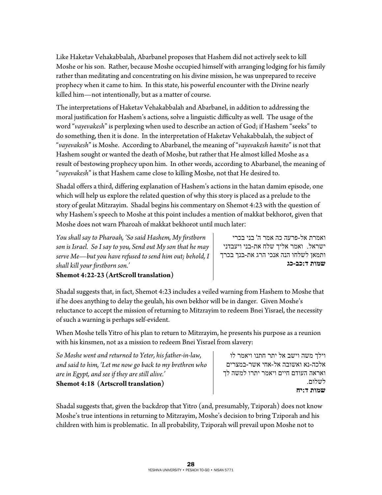Like Haketav Vehakabbalah, Abarbanel proposes that Hashem did not actively seek to kill Moshe or his son. Rather, because Moshe occupied himself with arranging lodging for his family rather than meditating and concentrating on his divine mission, he was unprepared to receive prophecy when it came to him. In this state, his powerful encounter with the Divine nearly killed him—not intentionally, but as a matter of course.

The interpretations of Haketav Vehakabbalah and Abarbanel, in addition to addressing the moral justification for Hashem's actions, solve a linguistic difficulty as well. The usage of the word "*vayevakesh*" is perplexing when used to describe an action of God; if Hashem "seeks" to do something, then it is done. In the interpretation of Haketav Vehakabbalah, the subject of "*vayevakesh*" is Moshe. According to Abarbanel, the meaning of "*vayevakesh hamito*" is not that Hashem sought or wanted the death of Moshe, but rather that He almost killed Moshe as a result of bestowing prophecy upon him. In other words, according to Abarbanel, the meaning of "*vayevakesh*" is that Hashem came close to killing Moshe, not that He desired to.

Shadal offers a third, differing explanation of Hashem's actions in the hatan damim episode, one which will help us explore the related question of why this story is placed as a prelude to the story of geulat Mitzrayim. Shadal begins his commentary on Shemot 4:23 with the question of why Hashem's speech to Moshe at this point includes a mention of makkat bekhorot, given that Moshe does not warn Pharoah of makkat bekhorot until much later:

*You shall say to Pharoah, 'So said Hashem, My firstborn son is Israel. So I say to you, Send out My son that he may serve Me—but you have refused to send him out; behold, I shall kill your firstborn son.'*  **Shemot 4:22-23 (ArtScroll translation)** 

ואמרת אל-פרעה כה אמר ה ' בני בכרי ישראל. ואמר אליך שלח את -בני ויעבדני ותמאן לשלחו הנה אנכי הרג את-בנך בכרך **שמות ד:כב-כג**

Shadal suggests that, in fact, Shemot 4:23 includes a veiled warning from Hashem to Moshe that if he does anything to delay the geulah, his own bekhor will be in danger. Given Moshe's reluctance to accept the mission of returning to Mitzrayim to redeem Bnei Yisrael, the necessity of such a warning is perhaps self-evident.

When Moshe tells Yitro of his plan to return to Mitzrayim, he presents his purpose as a reunion with his kinsmen, not as a mission to redeem Bnei Yisrael from slavery:

*So Moshe went and returned to Yeter, his father-in-law, and said to him, 'Let me now go back to my brethren who are in Egypt, and see if they are still alive.'*  **Shemot 4:18 (Artscroll translation)** 

וילך משה וישב אל יתר חתנו ויאמר לו אלכה-נא ואשובה אל-אחי אשר -במצרים ואראה העודם חיים ויאמר יתרו למשה לך לשלום. **שמות ד:יח**

Shadal suggests that, given the backdrop that Yitro (and, presumably, Tziporah) does not know Moshe's true intentions in returning to Mitzrayim, Moshe's decision to bring Tziporah and his children with him is problematic. In all probability, Tziporah will prevail upon Moshe not to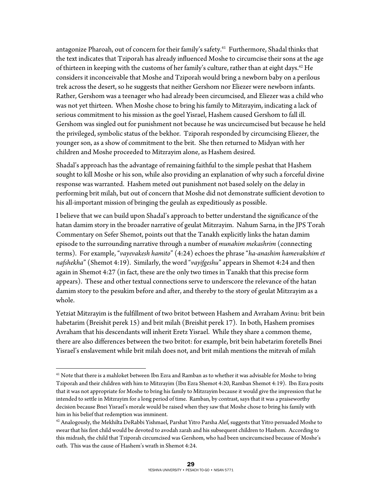antagonize Pharoah, out of concern for their family's safety.<sup>41</sup> Furthermore, Shadal thinks that the text indicates that Tziporah has already influenced Moshe to circumcise their sons at the age of thirteen in keeping with the customs of her family's culture, rather than at eight days.<sup>42</sup> He considers it inconceivable that Moshe and Tziporah would bring a newborn baby on a perilous trek across the desert, so he suggests that neither Gershom nor Eliezer were newborn infants. Rather, Gershom was a teenager who had already been circumcised, and Eliezer was a child who was not yet thirteen. When Moshe chose to bring his family to Mitzrayim, indicating a lack of serious commitment to his mission as the goel Yisrael, Hashem caused Gershom to fall ill. Gershom was singled out for punishment not because he was uncircumcised but because he held the privileged, symbolic status of the bekhor. Tziporah responded by circumcising Eliezer, the younger son, as a show of commitment to the brit. She then returned to Midyan with her children and Moshe proceeded to Mitzrayim alone, as Hashem desired.

Shadal's approach has the advantage of remaining faithful to the simple peshat that Hashem sought to kill Moshe or his son, while also providing an explanation of why such a forceful divine response was warranted. Hashem meted out punishment not based solely on the delay in performing brit milah, but out of concern that Moshe did not demonstrate sufficient devotion to his all-important mission of bringing the geulah as expeditiously as possible.

I believe that we can build upon Shadal's approach to better understand the significance of the hatan damim story in the broader narrative of geulat Mitzrayim. Nahum Sarna, in the JPS Torah Commentary on Sefer Shemot, points out that the Tanakh explicitly links the hatan damim episode to the surrounding narrative through a number of *munahim mekashrim* (connecting terms). For example, "*vayevakesh hamito*" (4:24) echoes the phrase "*ha-anashim hamevakshim et nafshekha*" (Shemot 4:19). Similarly, the word "*vayifgeshu*" appears in Shemot 4:24 and then again in Shemot 4:27 (in fact, these are the only two times in Tanakh that this precise form appears). These and other textual connections serve to underscore the relevance of the hatan damim story to the pesukim before and after, and thereby to the story of geulat Mitzrayim as a whole.

Yetziat Mitzrayim is the fulfillment of two britot between Hashem and Avraham Avinu: brit bein habetarim (Breishit perek 15) and brit milah (Breishit perek 17). In both, Hashem promises Avraham that his descendants will inherit Eretz Yisrael. While they share a common theme, there are also differences between the two britot: for example, brit bein habetarim foretells Bnei Yisrael's enslavement while brit milah does not, and brit milah mentions the mitzvah of milah

 $\overline{a}$  $^{41}$  Note that there is a mahloket between Ibn Ezra and Ramban as to whether it was advisable for Moshe to bring Tziporah and their children with him to Mitzrayim (Ibn Ezra Shemot 4:20, Ramban Shemot 4:19). Ibn Ezra posits that it was not appropriate for Moshe to bring his family to Mitzrayim because it would give the impression that he intended to settle in Mitzrayim for a long period of time. Ramban, by contrast, says that it was a praiseworthy decision because Bnei Yisrael's morale would be raised when they saw that Moshe chose to bring his family with him in his belief that redemption was imminent.

 $^{42}$  Analogously, the Mekhilta DeRabbi Yishmael, Parshat Yitro Parsha Alef, suggests that Yitro persuaded Moshe to swear that his first child would be devoted to avodah zarah and his subsequent children to Hashem. According to this midrash, the child that Tziporah circumcised was Gershom, who had been uncircumcised because of Moshe's oath. This was the cause of Hashem's wrath in Shemot 4:24.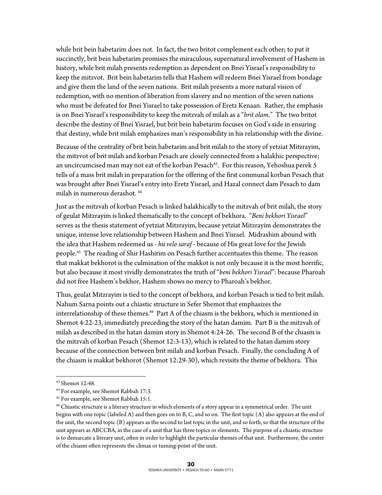while brit bein habetarim does not. In fact, the two britot complement each other; to put it succinctly, brit bein habetarim promises the miraculous, supernatural involvement of Hashem in history, while brit milah presents redemption as dependent on Bnei Yisrael's responsibility to keep the mitzvot. Brit bein habetarim tells that Hashem will redeem Bnei Yisrael from bondage and give them the land of the seven nations. Brit milah presents a more natural vision of redemption, with no mention of liberation from slavery and no mention of the seven nations who must be defeated for Bnei Yisrael to take possession of Eretz Kenaan. Rather, the emphasis is on Bnei Yisrael's responsibility to keep the mitzvah of milah as a "*brit olam*." The two britot describe the destiny of Bnei Yisrael, but brit bein habetarim focuses on God's side in ensuring that destiny, while brit milah emphasizes man's responsibility in his relationship with the divine.

Because of the centrality of brit bein habetarim and brit milah to the story of yetziat Mitzrayim, the mitzvot of brit milah and korban Pesach are closely connected from a halakhic perspective; an uncircumcised man may not eat of the korban Pesach<sup>43</sup>. For this reason, Yehoshua perek 5 tells of a mass brit milah in preparation for the offering of the first communal korban Pesach that was brought after Bnei Yisrael's entry into Eretz Yisrael, and Hazal connect dam Pesach to dam milah in numerous derashot. 44

Just as the mitzvah of korban Pesach is linked halakhically to the mitzvah of brit milah, the story of geulat Mitzrayim is linked thematically to the concept of bekhora. "*Beni bekhori Yisrael*" serves as the thesis statement of yetziat Mitzrayim, because yetziat Mitzrayim demonstrates the unique, intense love relationship between Hashem and Bnei Yisrael. Midrashim abound with the idea that Hashem redeemed us - *hu velo saraf* - because of His great love for the Jewish people.45 The reading of Shir Hashirim on Pesach further accentuates this theme. The reason that makkat bekhorot is the culmination of the makkot is not only because it is the most horrific, but also because it most vividly demonstrates the truth of "*beni bekhori Yisrael*": because Pharoah did not free Hashem's bekhor, Hashem shows no mercy to Pharoah's bekhor.

Thus, geulat Mitzrayim is tied to the concept of bekhora, and korban Pesach is tied to brit milah. Nahum Sarna points out a chiastic structure in Sefer Shemot that emphasizes the interrelationship of these themes.<sup>46</sup> Part A of the chiasm is the bekhora, which is mentioned in Shemot 4:22-23, immediately preceding the story of the hatan damim. Part B is the mitzvah of milah as described in the hatan damim story in Shemot 4:24-26. The second B of the chiasm is the mitzvah of korban Pesach (Shemot 12:3-13), which is related to the hatan damim story because of the connection between brit milah and korban Pesach. Finally, the concluding A of the chiasm is makkat bekhorot (Shemot 12:29-30), which revisits the theme of bekhora. This

 $\overline{a}$ 

<sup>43</sup> Shemot 12:48.

<sup>44</sup> For example, see Shemot Rabbah 17:3.

<sup>45</sup> For example, see Shemot Rabbah 15:1.

 $46$  Chiastic structure is a literary structure in which elements of a story appear in a symmetrical order. The unit begins with one topic (labeled A) and then goes on to B, C, and so on. The first topic (A) also appears at the end of the unit, the second topic (B) appears as the second to last topic in the unit, and so forth, so that the structure of the unit appears as ABCCBA, in the case of a unit that has three topics or elements. The purpose of a chiastic structure is to demarcate a literary unit, often in order to highlight the particular themes of that unit. Furthermore, the center of the chiasm often represents the climax or turning-point of the unit.